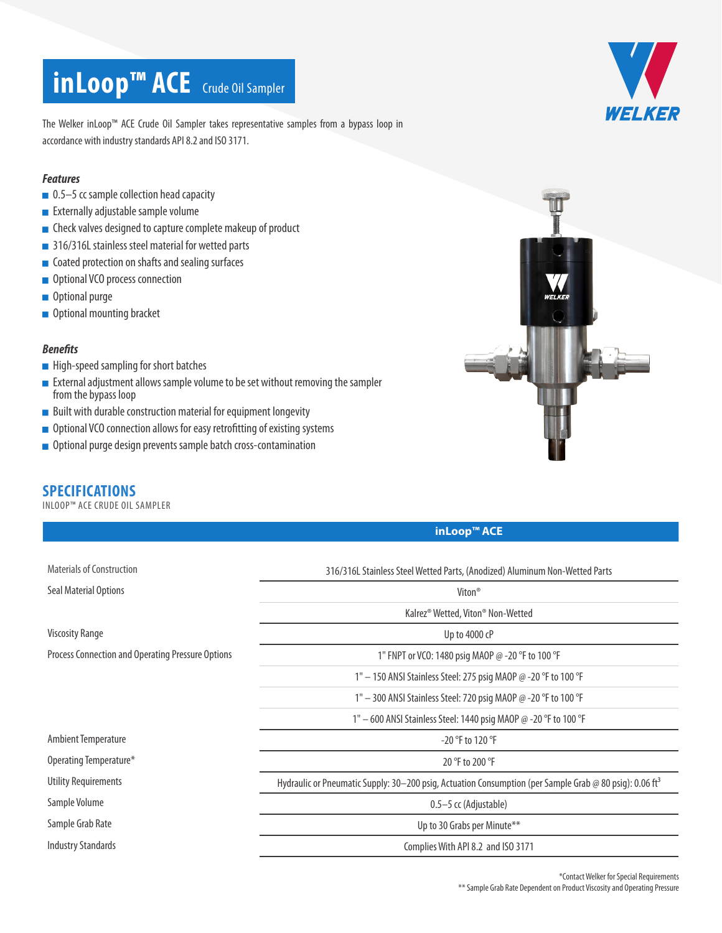# **inLoop™ ACE** Crude Oil Sampler



The Welker inLoop™ ACE Crude Oil Sampler takes representative samples from a bypass loop in accordance with industry standards API 8.2 and ISO 3171.

#### *Features*

- 0.5–5 cc sample collection head capacity
- **Externally adjustable sample volume**
- Check valves designed to capture complete makeup of product
- 316/316L stainless steel material for wetted parts
- Coated protection on shafts and sealing surfaces
- Optional VCO process connection
- **Optional purge**
- Optional mounting bracket

#### *Benefits*

- **High-speed sampling for short batches**
- **External adjustment allows sample volume to be set without removing the sampler** from the bypass loop
- $\blacksquare$  Built with durable construction material for equipment longevity
- Optional VCO connection allows for easy retrofitting of existing systems
- **Optional purge design prevents sample batch cross-contamination**

## **SPECIFICATIONS**

INLOOP™ ACE CRUDE OIL SAMPLER



### **inLoop™ ACE**

| <b>Materials of Construction</b>                  | 316/316L Stainless Steel Wetted Parts, (Anodized) Aluminum Non-Wetted Parts                                         |
|---------------------------------------------------|---------------------------------------------------------------------------------------------------------------------|
| Seal Material Options                             | Viton <sup>®</sup>                                                                                                  |
|                                                   | Kalrez® Wetted, Viton® Non-Wetted                                                                                   |
| <b>Viscosity Range</b>                            | Up to 4000 cP                                                                                                       |
| Process Connection and Operating Pressure Options | 1" FNPT or VCO: 1480 psig MAOP @ -20 °F to 100 °F                                                                   |
|                                                   | 1" $-$ 150 ANSI Stainless Steel: 275 psig MAOP @ -20 °F to 100 °F                                                   |
|                                                   | 1" - 300 ANSI Stainless Steel: 720 psig MAOP @ -20 °F to 100 °F                                                     |
|                                                   | 1" - 600 ANSI Stainless Steel: 1440 psig MAOP @ -20 °F to 100 °F                                                    |
| <b>Ambient Temperature</b>                        | $-20$ °F to 120 °F                                                                                                  |
| Operating Temperature*                            | 20 °F to 200 °F                                                                                                     |
| Utility Requirements                              | Hydraulic or Pneumatic Supply: 30–200 psig, Actuation Consumption (per Sample Grab @ 80 psig): 0.06 ft <sup>3</sup> |
| Sample Volume                                     | 0.5–5 cc (Adjustable)                                                                                               |
| Sample Grab Rate                                  | Up to 30 Grabs per Minute**                                                                                         |
| <b>Industry Standards</b>                         | Complies With API 8.2 and ISO 3171                                                                                  |